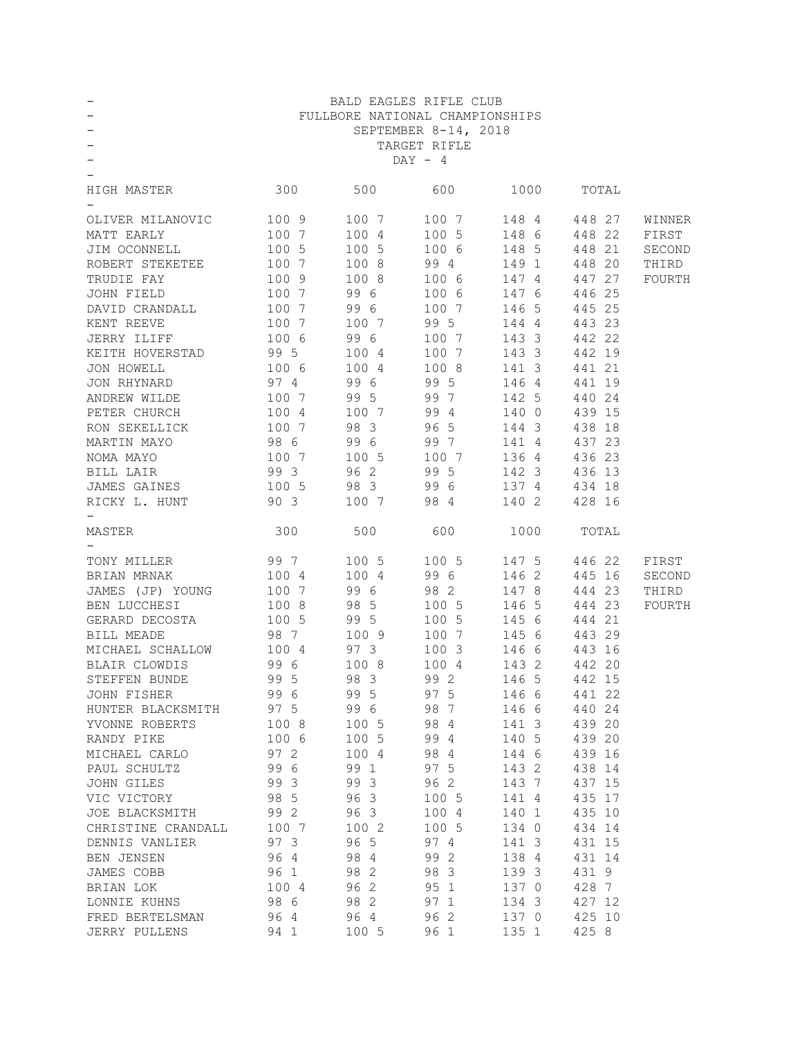|                                                                                                                                   |                                        |                                               | BALD EAGLES RIFLE CLUB                                                                                                                   |                         |              |        |
|-----------------------------------------------------------------------------------------------------------------------------------|----------------------------------------|-----------------------------------------------|------------------------------------------------------------------------------------------------------------------------------------------|-------------------------|--------------|--------|
|                                                                                                                                   |                                        |                                               | FULLBORE NATIONAL CHAMPIONSHIPS                                                                                                          |                         |              |        |
|                                                                                                                                   |                                        |                                               | SEPTEMBER 8-14, 2018                                                                                                                     |                         |              |        |
|                                                                                                                                   |                                        |                                               | TARGET RIFLE                                                                                                                             |                         |              |        |
|                                                                                                                                   |                                        |                                               | $DAY - 4$                                                                                                                                |                         |              |        |
|                                                                                                                                   |                                        |                                               |                                                                                                                                          |                         |              |        |
| HIGH MASTER 300 500 600                                                                                                           |                                        |                                               |                                                                                                                                          |                         | 1000 TOTAL   |        |
|                                                                                                                                   |                                        |                                               |                                                                                                                                          |                         |              |        |
|                                                                                                                                   |                                        |                                               |                                                                                                                                          |                         |              | WINNER |
|                                                                                                                                   |                                        |                                               | $\begin{array}{cccccc} 100 & 7 & & & 100 & 7 & & & 148 & 4 & & 448 & 27 \\ 100 & 4 & & & 100 & 5 & & & 148 & 6 & & 448 & 22 \end{array}$ |                         |              | FIRST  |
| OLIVER MILANOVIC 100 9<br>MATT EARLY 100 7<br>JIM OCONNELL 100 5                                                                  |                                        |                                               | $1005$ $1006$ $1485$ $44821$                                                                                                             |                         |              | SECOND |
| ROBERT STEKETEE 100 7                                                                                                             |                                        |                                               | 100 8 99 4 149 1                                                                                                                         |                         | 448 20       | THIRD  |
| TRUDIE FAY                                                                                                                        | 100 9                                  |                                               | 100 8 100 6 147 4                                                                                                                        |                         | 447 27       | FOURTH |
| JOHN FIELD 100 7 99 6                                                                                                             |                                        |                                               |                                                                                                                                          | 100 6 147 6             | 446 25       |        |
| DAVID CRANDALL 100 7 99 6                                                                                                         |                                        |                                               |                                                                                                                                          | 100 7 146 5             | 445 25       |        |
|                                                                                                                                   |                                        |                                               | 99 5 144 4                                                                                                                               |                         | 443 23       |        |
| XENT REEVE 100 7 100 7<br>JERRY ILIFF 100 6 99 6<br>XEITH HOVERSTAD 99 5 100 4<br>JON HOWELL 100 6 100 4<br>JON RHYNARD 97 4 99 6 |                                        |                                               |                                                                                                                                          |                         | 442 22       |        |
|                                                                                                                                   |                                        |                                               | 100 7 143 3                                                                                                                              |                         | 442 19       |        |
|                                                                                                                                   |                                        |                                               | 100 7<br>100 8                                                                                                                           | 143 3                   | 441 21       |        |
|                                                                                                                                   |                                        | 99 6 99 5                                     |                                                                                                                                          | 141 3<br>146 4          |              |        |
| ANDREW WILDE                                                                                                                      |                                        |                                               |                                                                                                                                          |                         | 441 19       |        |
|                                                                                                                                   |                                        |                                               | 100 7 99 5 99 7 142 5                                                                                                                    |                         | 440 24       |        |
| PETER CHURCH 100 4 100 7 99 4 140 0                                                                                               |                                        |                                               |                                                                                                                                          |                         | 439 15       |        |
| RON SEKELLICK 100 7 98 3 96 5 144 3                                                                                               |                                        |                                               |                                                                                                                                          |                         | 438 18       |        |
|                                                                                                                                   |                                        |                                               |                                                                                                                                          |                         | 437 23       |        |
| 100 7 100 5 100 7 136 4<br>NOMA MAYO                                                                                              |                                        |                                               |                                                                                                                                          |                         | 436 23       |        |
|                                                                                                                                   |                                        | 96 2                                          | 99 5 142 3<br>99 6 137 4<br>98 4 140 2                                                                                                   |                         | 436 13       |        |
|                                                                                                                                   |                                        | $\begin{array}{c} 98 \\ 3 \\ 100 \end{array}$ |                                                                                                                                          |                         | 434 18       |        |
| BILL LAIR 99 3<br>JAMES GAINES 100 5<br>RICKY L. HUNT 90 3                                                                        |                                        |                                               |                                                                                                                                          |                         | 428 16       |        |
| 300<br>MASTER                                                                                                                     |                                        |                                               | 500 600 1000 TOTAL                                                                                                                       |                         |              |        |
|                                                                                                                                   |                                        |                                               |                                                                                                                                          |                         |              |        |
|                                                                                                                                   |                                        |                                               |                                                                                                                                          |                         |              |        |
|                                                                                                                                   |                                        |                                               |                                                                                                                                          |                         |              |        |
| TONY MILLER 99 7                                                                                                                  |                                        |                                               | 100 5 100 5 147 5 446 22                                                                                                                 |                         |              | FIRST  |
| BRIAN MRNAK<br>1004                                                                                                               |                                        | 100 4                                         | 99 6 146 2 445 16                                                                                                                        |                         |              | SECOND |
| JAMES (JP) YOUNG 100 7                                                                                                            |                                        | 99 6                                          | 98 2 147 8                                                                                                                               |                         | 444 23       | THIRD  |
| BEN LUCCHESI                                                                                                                      |                                        |                                               |                                                                                                                                          | 146 5                   | 444 23       | FOURTH |
|                                                                                                                                   |                                        |                                               | 100 5<br>100 5<br>100 5                                                                                                                  | 145 6                   | 444 21       |        |
| GERARD DECOSTA<br>BILL MEADE<br>BILL MEADE                                                                                        | 100 8 98 5<br>100 5 99 5<br>98 7 100 9 |                                               | 100 7                                                                                                                                    | 145 6                   | 443 29       |        |
|                                                                                                                                   |                                        |                                               |                                                                                                                                          | 100 3 146 6             | 443 16       |        |
| MICHAEL SCHALLOW 100 4 97 3<br>BLAIR CLOWDIS 99 6 100 8                                                                           |                                        |                                               |                                                                                                                                          | 100 4 143 2 442 20      |              |        |
|                                                                                                                                   |                                        | 98 3                                          |                                                                                                                                          | 99 2 146 5              | 442 15       |        |
| STEFFEN BUNDE 99 5<br>JOHN FISHER 99 6                                                                                            |                                        | 99 5                                          | 97 5                                                                                                                                     |                         | 146 6 441 22 |        |
| HUNTER BLACKSMITH 97 5 99 6 98 7                                                                                                  |                                        |                                               |                                                                                                                                          | 146 6 440 24            |              |        |
| YVONNE ROBERTS 100 8                                                                                                              |                                        |                                               | 100 5 98 4                                                                                                                               | 141 3                   | 439 20       |        |
| RANDY PIKE                                                                                                                        |                                        | 100 5                                         |                                                                                                                                          |                         | 439 20       |        |
| MICHAEL CARLO                                                                                                                     | 100 6<br>97 2                          | 100 4                                         | 99 4                                                                                                                                     |                         | 439 16       |        |
| PAUL SCHULTZ                                                                                                                      | 99 6                                   | 99 1                                          | 98 4<br>97 5                                                                                                                             | 140 5<br>144 6<br>143 2 | 438 14       |        |
| JOHN GILES                                                                                                                        | 99 3                                   |                                               | 99 3 96 2 143 7                                                                                                                          |                         | 437 15       |        |
| VIC VICTORY 98 5 96 3 100 5 141 4                                                                                                 |                                        |                                               |                                                                                                                                          |                         | 435 17       |        |
| JOE BLACKSMITH 99 2 96 3 100 4 140 1                                                                                              |                                        |                                               |                                                                                                                                          |                         | 435 10       |        |
| CHRISTINE CRANDALL 100 7                                                                                                          |                                        | 100 2                                         |                                                                                                                                          | 100 5 134 0             | 434 14       |        |
| DENNIS VANLIER 97 3                                                                                                               |                                        | 96 5                                          | 97 4                                                                                                                                     | 141 3                   | 431 15       |        |
| BEN JENSEN                                                                                                                        | 96 4                                   | 98 4                                          | 99 2                                                                                                                                     | 138 4                   | 431 14       |        |
|                                                                                                                                   |                                        | 98 2                                          |                                                                                                                                          | 139 3                   | 431 9        |        |
| JAMES COBB                                                                                                                        |                                        | 96 2                                          |                                                                                                                                          | 137 0                   | 428 7        |        |
|                                                                                                                                   |                                        |                                               | 98 3<br>95 1<br>97 1                                                                                                                     |                         |              |        |
| JAMES COBB 96 1<br>BRIAN LOK 100 4<br>LONNIE KUHNS 98 6<br>FRED BERTELSMAN 96 4                                                   | 94 1                                   | 98 2<br>96 4                                  | 96 2 137 0 425 10<br>100 5 96 1 135 1                                                                                                    | 134 3                   | 427 12       |        |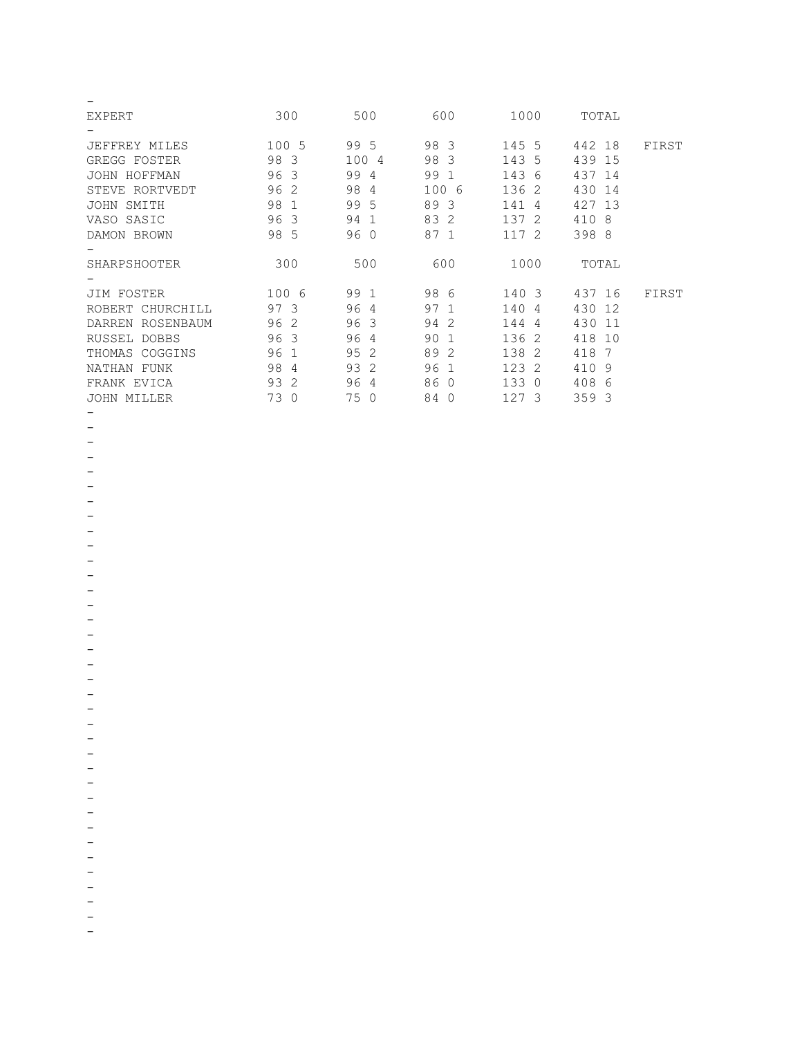| <b>EXPERT</b>          | 300                           | 500                  | 600       | 1000                  | TOTAL      |       |
|------------------------|-------------------------------|----------------------|-----------|-----------------------|------------|-------|
|                        |                               |                      |           |                       |            |       |
| JEFFREY MILES          | 100 5                         | 99 5                 | 98 3      | 145 5                 | 442<br>18  | FIRST |
| GREGG FOSTER           | 98 3                          | 100 4                | 98<br>-3  | 143<br>- 5            | 439<br>15  |       |
| JOHN HOFFMAN           | 96 3                          | 99<br>$\overline{4}$ | 99        | 143<br>-6             | 437<br>-14 |       |
| STEVE RORTVEDT         | 96 2                          | 98<br>4              | 100 6     | 136 2                 | 430<br>14  |       |
| SMITH<br>JOHN          | 98 1                          | 99<br>.5             | 89 3      | 141<br>4              | 427<br>13  |       |
| VASO SASIC             | 96<br>$\overline{\mathbf{3}}$ | 94<br>$\mathbf{1}$   | 83 2      | 137<br>-2             | 410<br>8   |       |
| DAMON BROWN            | 98 5                          | 96 0                 | 87 1      | 117 2                 | 398 8      |       |
|                        |                               |                      |           |                       |            |       |
| SHARPSHOOTER           | 300                           | 500                  | 600       | 1000                  | TOTAL      |       |
|                        |                               |                      |           |                       |            |       |
|                        |                               |                      |           |                       |            |       |
| JIM FOSTER             | 100 6                         | 99<br>-1             | 98 6      | 140 3                 | 437 16     | FIRST |
| ROBERT CHURCHILL       | 97 3                          | 96<br>$\overline{4}$ | 97 1      | 140<br>-4             | 430<br>12  |       |
| DARREN ROSENBAUM       | 96 2                          | 96<br>3              | 94<br>-2  | 144<br>$\overline{4}$ | 430<br>11  |       |
| RUSSEL<br><b>DOBBS</b> | 96 3                          | 96<br>4              | 90        | 136<br>-2             | 418<br>10  |       |
| THOMAS<br>COGGINS      | 96<br>$\mathbf{1}$            | 95<br>$\mathcal{L}$  | 89<br>2   | 138<br>-2             | 418<br>7   |       |
| <b>NATHAN</b><br>FUNK  | 98<br>4                       | 93<br>2              | 96<br>1   | 123<br>-2             | 410<br>9   |       |
| FRANK EVICA            | 93<br>-2                      | 96<br>4              | 86<br>- 0 | 133<br>$\Omega$       | 408<br>6   |       |

- -
- -
- -
- -
- -
- -
- -
- -
- -
- -
- -
- -
- -
- -
- -
- -
- -
- -
- -
- -
- -
- -
- -
- -
- -
- -
- -
- -
- -
- -
- -
- -